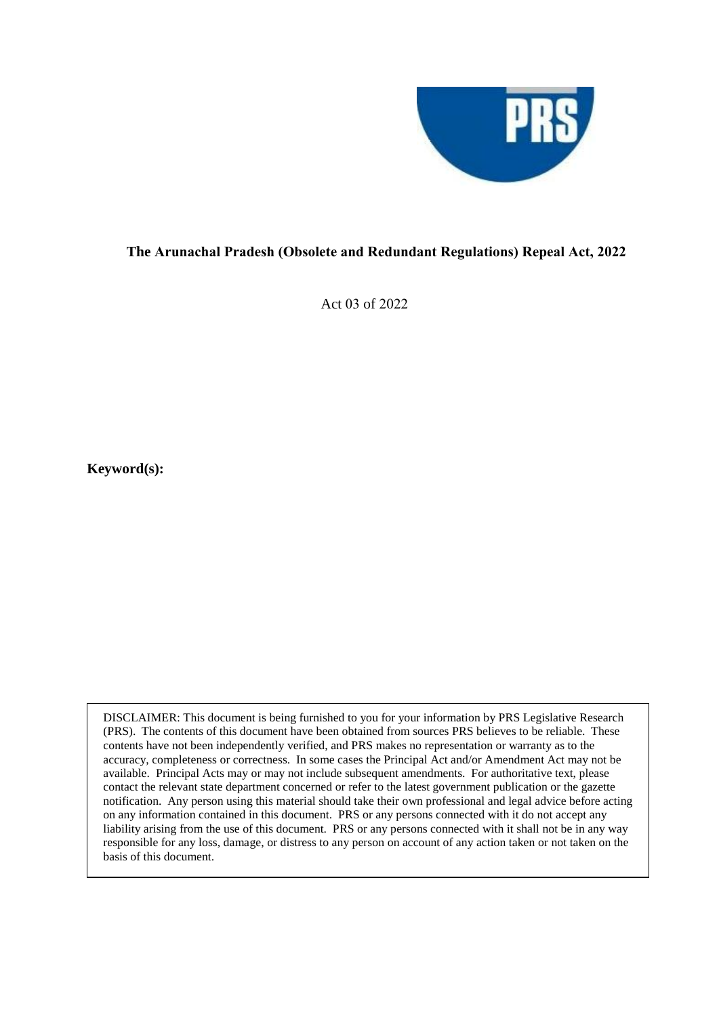

## **The Arunachal Pradesh (Obsolete and Redundant Regulations) Repeal Act, 2022**

Act 03 of 2022

**Keyword(s):** 

DISCLAIMER: This document is being furnished to you for your information by PRS Legislative Research (PRS). The contents of this document have been obtained from sources PRS believes to be reliable. These contents have not been independently verified, and PRS makes no representation or warranty as to the accuracy, completeness or correctness. In some cases the Principal Act and/or Amendment Act may not be available. Principal Acts may or may not include subsequent amendments. For authoritative text, please contact the relevant state department concerned or refer to the latest government publication or the gazette notification. Any person using this material should take their own professional and legal advice before acting on any information contained in this document. PRS or any persons connected with it do not accept any liability arising from the use of this document. PRS or any persons connected with it shall not be in any way responsible for any loss, damage, or distress to any person on account of any action taken or not taken on the basis of this document.